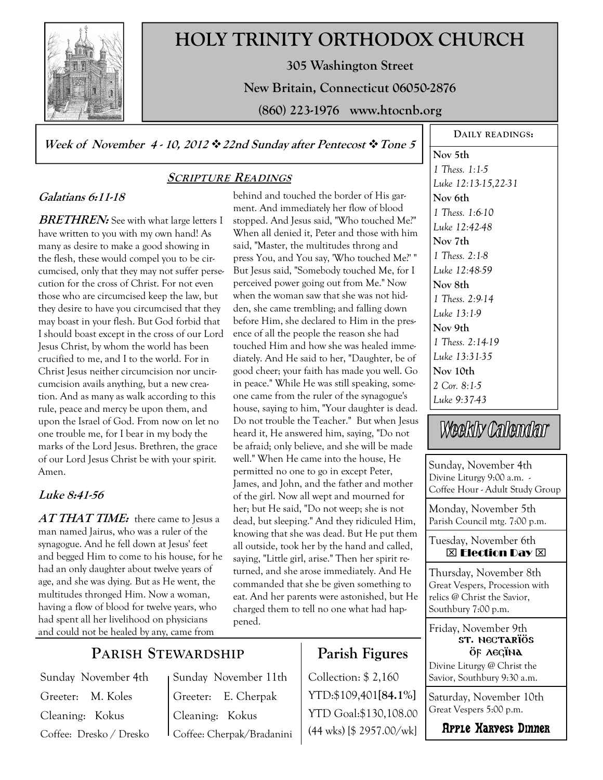

**Galatians 6:11-18** 

# **HOLY TRINITY ORTHODOX CHURCH**

**305 Washington Street** 

**New Britain, Connecticut 06050-2876** 

**(860) 223-1976 www.htocnb.org** 

**Week of November 4 - 10, 2012 22nd Sunday after Pentecost Tone 5** 

## **SCRIPTURE READINGS**

**BRETHREN:** See with what large letters I have written to you with my own hand! As many as desire to make a good showing in the flesh, these would compel you to be circumcised, only that they may not suffer persecution for the cross of Christ. For not even those who are circumcised keep the law, but they desire to have you circumcised that they may boast in your flesh. But God forbid that I should boast except in the cross of our Lord Jesus Christ, by whom the world has been crucified to me, and I to the world. For in Christ Jesus neither circumcision nor uncircumcision avails anything, but a new creation. And as many as walk according to this rule, peace and mercy be upon them, and upon the Israel of God. From now on let no one trouble me, for I bear in my body the marks of the Lord Jesus. Brethren, the grace of our Lord Jesus Christ be with your spirit. Amen.

#### **Luke 8:41-56**

**AT THAT TIME:** there came to Jesus a man named Jairus, who was a ruler of the synagogue. And he fell down at Jesus' feet and begged Him to come to his house, for he had an only daughter about twelve years of age, and she was dying. But as He went, the multitudes thronged Him. Now a woman, having a flow of blood for twelve years, who had spent all her livelihood on physicians and could not be healed by any, came from

behind and touched the border of His garment. And immediately her flow of blood stopped. And Jesus said, "Who touched Me?" When all denied it, Peter and those with him said, "Master, the multitudes throng and press You, and You say, 'Who touched Me?' " But Jesus said, "Somebody touched Me, for I perceived power going out from Me." Now when the woman saw that she was not hidden, she came trembling; and falling down before Him, she declared to Him in the presence of all the people the reason she had touched Him and how she was healed immediately. And He said to her, "Daughter, be of good cheer; your faith has made you well. Go in peace." While He was still speaking, someone came from the ruler of the synagogue's house, saying to him, "Your daughter is dead. Do not trouble the Teacher." But when Jesus heard it, He answered him, saying, "Do not be afraid; only believe, and she will be made well." When He came into the house, He permitted no one to go in except Peter, James, and John, and the father and mother of the girl. Now all wept and mourned for her; but He said, "Do not weep; she is not dead, but sleeping." And they ridiculed Him, knowing that she was dead. But He put them all outside, took her by the hand and called, saying, "Little girl, arise." Then her spirit returned, and she arose immediately. And He commanded that she be given something to eat. And her parents were astonished, but He charged them to tell no one what had happened.

### **Nov 5th** *1 Thess. 1:1-5 Luke 12:13-15,22-31* **Nov 6th** *1 Thess. 1:6-10 Luke 12:42-48* **Nov 7th** *1 Thess. 2:1-8 Luke 12:48-59* **Nov 8th** *1 Thess. 2:9-14 Luke 13:1-9* **Nov 9th** *1 Thess. 2:14-19*

**DAILY READINGS:** 

*Luke 13:31-35* **Nov 10th** *2 Cor. 8:1-5 Luke 9:37-43*

# Weekly Calendar

Sunday, November 4th Divine Liturgy 9:00 a.m. - Coffee Hour - Adult Study Group

Monday, November 5th Parish Council mtg. 7:00 p.m.

Tuesday, November 6th **Election Day**  $\boxtimes$ 

Thursday, November 8th Great Vespers, Procession with relics @ Christ the Savior, Southbury 7:00 p.m.

Friday, November 9th ST. NECTARIÖS öf *n*egina

Divine Liturgy @ Christ the Savior, Southbury 9:30 a.m.

Saturday, November 10th Great Vespers 5:00 p.m.

Apple Harvest Dinner

## **PARISH STEWARDSHIP**

Sunday November 4th Greeter: M. Koles Cleaning: Kokus Coffee: Dresko / Dresko

Sunday November 11th Greeter: E. Cherpak Cleaning: Kokus Coffee: Cherpak/Bradanini

# **Parish Figures**

Collection: \$ 2,160 YTD:\$109,401**[84.1%]** YTD Goal:\$130,108.00 (44 wks) [\$ 2957.00/wk]